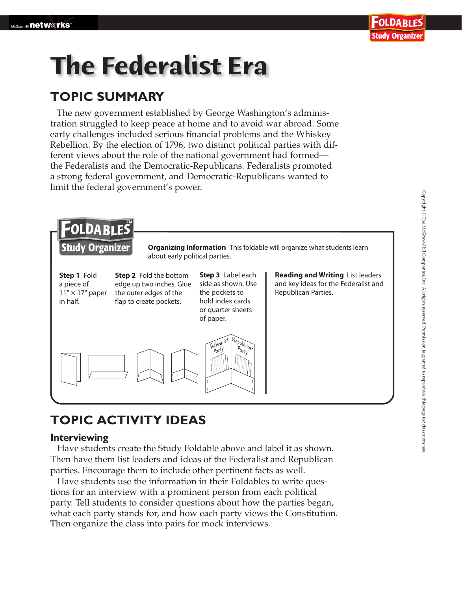# **The Federalist Era**

### **TOPIC SUMMARY**

The new government established by George Washington's administration struggled to keep peace at home and to avoid war abroad. Some early challenges included serious financial problems and the Whiskey Rebellion. By the election of 1796, two distinct political parties with different views about the role of the national government had formed the Federalists and the Democratic-Republicans. Federalists promoted a strong federal government, and Democratic-Republicans wanted to limit the federal government's power.



## **TOPIC ACTIVITY IDEAS**

#### **Interviewing**

 Have students create the Study Foldable above and label it as shown. Then have them list leaders and ideas of the Federalist and Republican parties. Encourage them to include other pertinent facts as well.

Have students use the information in their Foldables to write questions for an interview with a prominent person from each political party. Tell students to consider questions about how the parties began, what each party stands for, and how each party views the Constitution. Then organize the class into pairs for mock interviews.